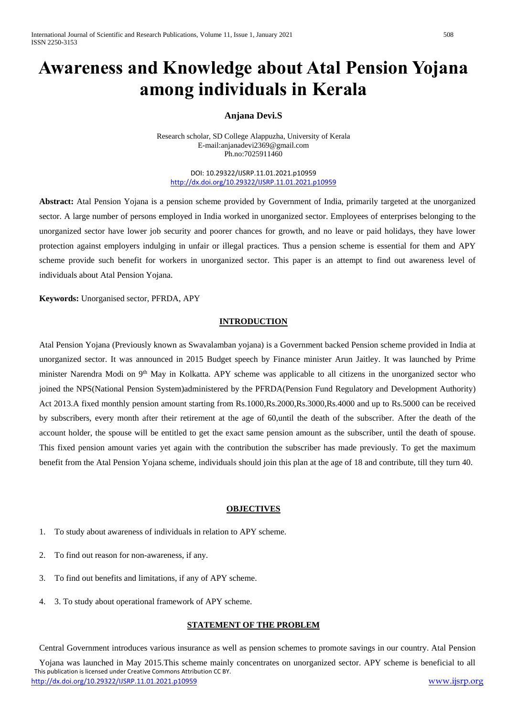# **Awareness and Knowledge about Atal Pension Yojana among individuals in Kerala**

# **Anjana Devi.S**

Research scholar, SD College Alappuzha, University of Kerala E-mail:anjanadevi2369@gmail.com Ph.no:7025911460

DOI: 10.29322/IJSRP.11.01.2021.p10959 <http://dx.doi.org/10.29322/IJSRP.11.01.2021.p10959>

**Abstract:** Atal Pension Yojana is a pension scheme provided by Government of India, primarily targeted at the unorganized sector. A large number of persons employed in India worked in unorganized sector. Employees of enterprises belonging to the unorganized sector have lower job security and poorer chances for growth, and no leave or paid holidays, they have lower protection against employers indulging in unfair or illegal practices. Thus a pension scheme is essential for them and APY scheme provide such benefit for workers in unorganized sector. This paper is an attempt to find out awareness level of individuals about Atal Pension Yojana.

**Keywords:** Unorganised sector, PFRDA, APY

## **INTRODUCTION**

Atal Pension Yojana (Previously known as Swavalamban yojana) is a Government backed Pension scheme provided in India at unorganized sector. It was announced in 2015 Budget speech by Finance minister Arun Jaitley. It was launched by Prime minister Narendra Modi on 9<sup>th</sup> May in Kolkatta. APY scheme was applicable to all citizens in the unorganized sector who joined the NPS(National Pension System)administered by the PFRDA(Pension Fund Regulatory and Development Authority) Act 2013.A fixed monthly pension amount starting from Rs.1000,Rs.2000,Rs.3000,Rs.4000 and up to Rs.5000 can be received by subscribers, every month after their retirement at the age of 60,until the death of the subscriber. After the death of the account holder, the spouse will be entitled to get the exact same pension amount as the subscriber, until the death of spouse. This fixed pension amount varies yet again with the contribution the subscriber has made previously. To get the maximum benefit from the Atal Pension Yojana scheme, individuals should join this plan at the age of 18 and contribute, till they turn 40.

#### **OBJECTIVES**

- 1. To study about awareness of individuals in relation to APY scheme.
- 2. To find out reason for non-awareness, if any.
- 3. To find out benefits and limitations, if any of APY scheme.
- 4. 3. To study about operational framework of APY scheme.

#### **STATEMENT OF THE PROBLEM**

Central Government introduces various insurance as well as pension schemes to promote savings in our country. Atal Pension

 This publication is licensed under Creative Commons Attribution CC BY. <http://dx.doi.org/10.29322/IJSRP.11.01.2021.p10959> [www.ijsrp.org](http://ijsrp.org/) Yojana was launched in May 2015.This scheme mainly concentrates on unorganized sector. APY scheme is beneficial to all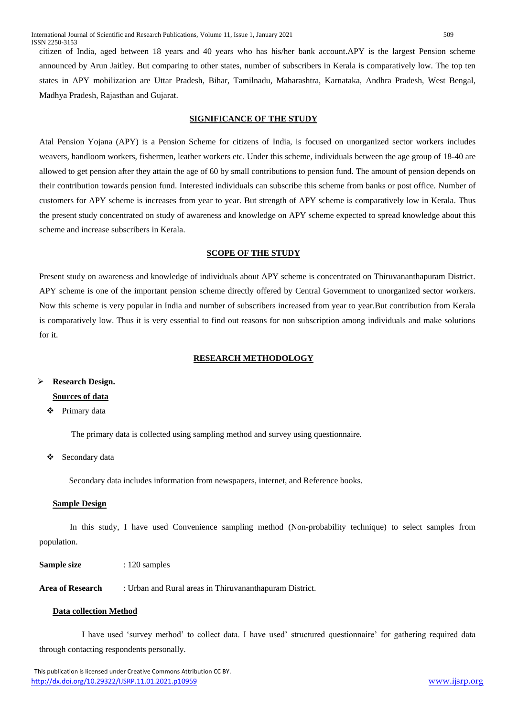citizen of India, aged between 18 years and 40 years who has his/her bank account.APY is the largest Pension scheme announced by Arun Jaitley. But comparing to other states, number of subscribers in Kerala is comparatively low. The top ten states in APY mobilization are Uttar Pradesh, Bihar, Tamilnadu, Maharashtra, Karnataka, Andhra Pradesh, West Bengal, Madhya Pradesh, Rajasthan and Gujarat.

## **SIGNIFICANCE OF THE STUDY**

Atal Pension Yojana (APY) is a Pension Scheme for citizens of India, is focused on unorganized sector workers includes weavers, handloom workers, fishermen, leather workers etc. Under this scheme, individuals between the age group of 18-40 are allowed to get pension after they attain the age of 60 by small contributions to pension fund. The amount of pension depends on their contribution towards pension fund. Interested individuals can subscribe this scheme from banks or post office. Number of customers for APY scheme is increases from year to year. But strength of APY scheme is comparatively low in Kerala. Thus the present study concentrated on study of awareness and knowledge on APY scheme expected to spread knowledge about this scheme and increase subscribers in Kerala.

#### **SCOPE OF THE STUDY**

Present study on awareness and knowledge of individuals about APY scheme is concentrated on Thiruvananthapuram District. APY scheme is one of the important pension scheme directly offered by Central Government to unorganized sector workers. Now this scheme is very popular in India and number of subscribers increased from year to year.But contribution from Kerala is comparatively low. Thus it is very essential to find out reasons for non subscription among individuals and make solutions for it.

#### **RESEARCH METHODOLOGY**

### **Research Design.**

# **Sources of data**

# Primary data

The primary data is collected using sampling method and survey using questionnaire.

#### Secondary data

Secondary data includes information from newspapers, internet, and Reference books.

#### **Sample Design**

In this study, I have used Convenience sampling method (Non-probability technique) to select samples from population.

**Sample size** : 120 samples

**Area of Research** : Urban and Rural areas in Thiruvananthapuram District.

#### **Data collection Method**

 I have used 'survey method' to collect data. I have used' structured questionnaire' for gathering required data through contacting respondents personally.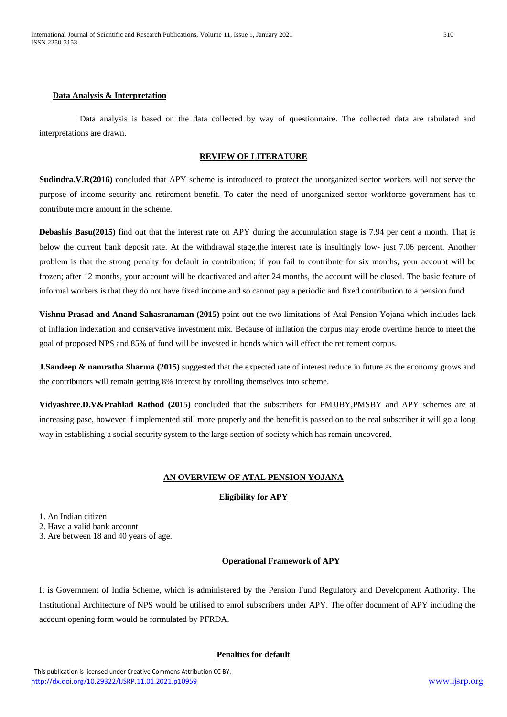#### **Data Analysis & Interpretation**

 Data analysis is based on the data collected by way of questionnaire. The collected data are tabulated and interpretations are drawn.

# **REVIEW OF LITERATURE**

**Sudindra.V.R(2016)** concluded that APY scheme is introduced to protect the unorganized sector workers will not serve the purpose of income security and retirement benefit. To cater the need of unorganized sector workforce government has to contribute more amount in the scheme.

**Debashis Basu(2015)** find out that the interest rate on APY during the accumulation stage is 7.94 per cent a month. That is below the current bank deposit rate. At the withdrawal stage,the interest rate is insultingly low- just 7.06 percent. Another problem is that the strong penalty for default in contribution; if you fail to contribute for six months, your account will be frozen; after 12 months, your account will be deactivated and after 24 months, the account will be closed. The basic feature of informal workers is that they do not have fixed income and so cannot pay a periodic and fixed contribution to a pension fund.

**Vishnu Prasad and Anand Sahasranaman (2015)** point out the two limitations of Atal Pension Yojana which includes lack of inflation indexation and conservative investment mix. Because of inflation the corpus may erode overtime hence to meet the goal of proposed NPS and 85% of fund will be invested in bonds which will effect the retirement corpus.

**J.Sandeep & namratha Sharma** (2015) suggested that the expected rate of interest reduce in future as the economy grows and the contributors will remain getting 8% interest by enrolling themselves into scheme.

**Vidyashree.D.V&Prahlad Rathod (2015)** concluded that the subscribers for PMJJBY,PMSBY and APY schemes are at increasing pase, however if implemented still more properly and the benefit is passed on to the real subscriber it will go a long way in establishing a social security system to the large section of society which has remain uncovered.

# **AN OVERVIEW OF ATAL PENSION YOJANA**

# **Eligibility for APY**

1. An Indian citizen

2. Have a valid bank account

3. Are between 18 and 40 years of age.

#### **Operational Framework of APY**

It is Government of India Scheme, which is administered by the Pension Fund Regulatory and Development Authority. The Institutional Architecture of NPS would be utilised to enrol subscribers under APY. The offer document of APY including the account opening form would be formulated by PFRDA.

#### **Penalties for default**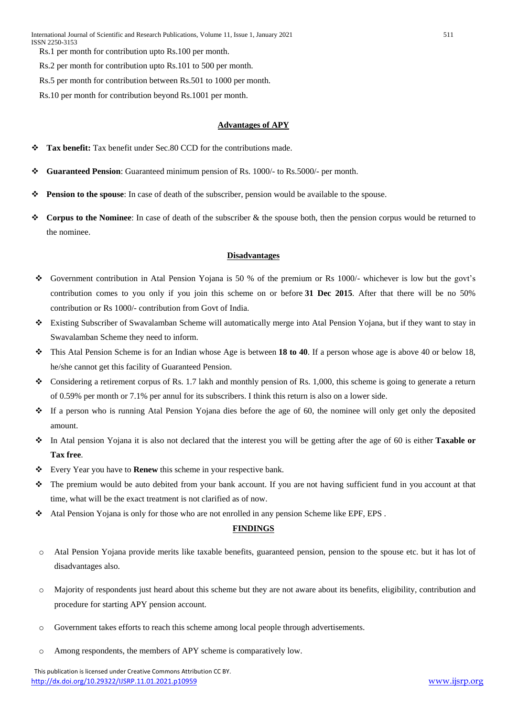Rs.1 per month for contribution upto Rs.100 per month.

Rs.2 per month for contribution upto Rs.101 to 500 per month.

Rs.5 per month for contribution between Rs.501 to 1000 per month.

Rs.10 per month for contribution beyond Rs.1001 per month.

## **Advantages of APY**

- **Tax benefit:** Tax benefit under Sec.80 CCD for the contributions made.
- **Guaranteed Pension**: Guaranteed minimum pension of Rs. 1000/- to Rs.5000/- per month.
- **Pension to the spouse**: In case of death of the subscriber, pension would be available to the spouse.
- **Corpus to the Nominee**: In case of death of the subscriber & the spouse both, then the pension corpus would be returned to the nominee.

#### **Disadvantages**

- Government contribution in Atal Pension Yojana is 50 % of the premium or Rs 1000/- whichever is low but the govt's contribution comes to you only if you join this scheme on or before **31 Dec 2015**. After that there will be no 50% contribution or Rs 1000/- contribution from Govt of India.
- Existing Subscriber of Swavalamban Scheme will automatically merge into Atal Pension Yojana, but if they want to stay in Swavalamban Scheme they need to inform.
- This Atal Pension Scheme is for an Indian whose Age is between **18 to 40**. If a person whose age is above 40 or below 18, he/she cannot get this facility of Guaranteed Pension.
- Considering a retirement corpus of Rs. 1.7 lakh and monthly pension of Rs. 1,000, this scheme is going to generate a return of 0.59% per month or 7.1% per annul for its subscribers. I think this return is also on a lower side.
- $\cdot \cdot$  If a person who is running Atal Pension Yojana dies before the age of 60, the nominee will only get only the deposited amount.
- In Atal pension Yojana it is also not declared that the interest you will be getting after the age of 60 is either **Taxable or Tax free**.
- Every Year you have to **Renew** this scheme in your respective bank.
- The premium would be auto debited from your bank account. If you are not having sufficient fund in you account at that time, what will be the exact treatment is not clarified as of now.
- Atal Pension Yojana is only for those who are not enrolled in any pension Scheme like EPF, EPS .

# **FINDINGS**

- o Atal Pension Yojana provide merits like taxable benefits, guaranteed pension, pension to the spouse etc. but it has lot of disadvantages also.
- o Majority of respondents just heard about this scheme but they are not aware about its benefits, eligibility, contribution and procedure for starting APY pension account.
- o Government takes efforts to reach this scheme among local people through advertisements.
- o Among respondents, the members of APY scheme is comparatively low.

 This publication is licensed under Creative Commons Attribution CC BY. <http://dx.doi.org/10.29322/IJSRP.11.01.2021.p10959> [www.ijsrp.org](http://ijsrp.org/)